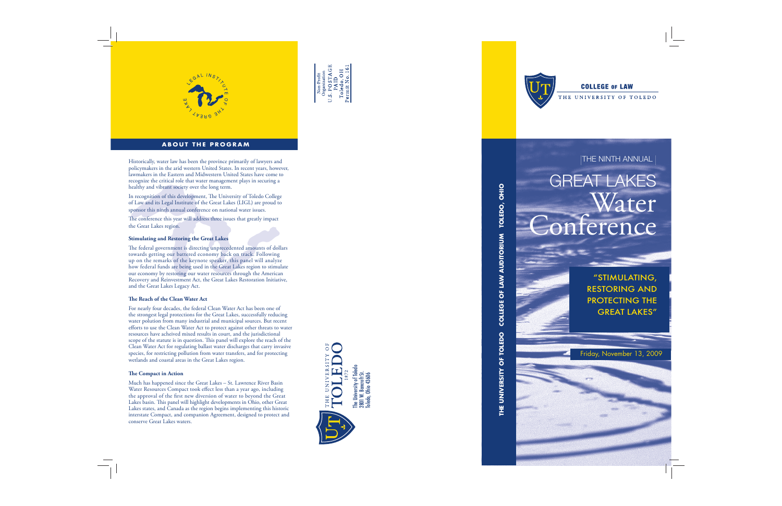

## **COLLEGE OF LAW**

THE UNIVERSITY OF TOLEDO



**ABOUT THE PROGRAM**



Non-Profit<br>Organization<br>U.S. PO STAGE<br>PalD<br>Toledo, OH<br>Toledo, OH





In recognition of this development, The University of Toledo College of Law and its Legal Institute of the Great Lakes (LIGL) are proud to sponsor this ninth annual conference on national water issues.

Historically, water law has been the province primarily of lawyers and THE NINTH ANNUAL policymakers in the arid western United States. In recent years, however, lawmakers in the Eastern and Midwestern United States have come to recognize the critical role that water management plays in securing a healthy and vibrant society over the long term.

The conference this year will address three issues that greatly impact the Great Lakes region.

The federal government is directing unprecedented amounts of dollars towards getting our battered economy back on track. Following up on the remarks of the keynote speaker, this panel will analyze how federal funds are being used in the Great Lakes region to stimulate our economy by restoring our water resources through the American Recovery and Reinvestment Act, the Great Lakes Restoration Initiative, and the Great Lakes Legacy Act.

#### **The Reach of the Clean Water Act**

#### **Stimulating and Restoring the Great Lakes**

For nearly four decades, the federal Clean Water Act has been one of the strongest legal protections for the Great Lakes, successfully reducing water polution from many industrial and municipal sources. But recent efforts to use the Clean Water Act to protect against other threats to water resources have acheived mixed results in court, and the jurisdictional scope of the statute is in question. This panel will explore the reach of the Clean Water Act for regulating ballast water discharges that carry invasive species, for restricting pollution from water transfers, and for protecting wetlands and coastal areas in the Great Lakes region.

#### **The Compact in Action**

Much has happened since the Great Lakes – St. Lawrence River Basin Water Resources Compact took effect less than a year ago, including the approval of the first new diversion of water to beyond the Great Lakes basin. This panel will highlight developments in Ohio, other Great Lakes states, and Canada as the region begins implementing this historic interstate Compact, and companion Agreement, designed to protect and conserve Great Lakes waters.